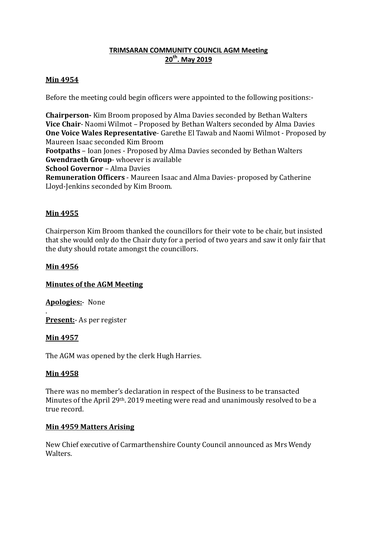# **TRIMSARAN COMMUNITY COUNCIL AGM Meeting 20th. May 2019**

## **Min 4954**

Before the meeting could begin officers were appointed to the following positions:-

**Chairperson-** Kim Broom proposed by Alma Davies seconded by Bethan Walters **Vice Chair**- Naomi Wilmot – Proposed by Bethan Walters seconded by Alma Davies **One Voice Wales Representative**- Garethe El Tawab and Naomi Wilmot - Proposed by Maureen Isaac seconded Kim Broom

**Footpaths** – Ioan Jones - Proposed by Alma Davies seconded by Bethan Walters **Gwendraeth Group**- whoever is available

**School Governor** – Alma Davies

**Remuneration Officers** - Maureen Isaac and Alma Davies- proposed by Catherine Lloyd-Jenkins seconded by Kim Broom.

# **Min 4955**

Chairperson Kim Broom thanked the councillors for their vote to be chair, but insisted that she would only do the Chair duty for a period of two years and saw it only fair that the duty should rotate amongst the councillors.

# **Min 4956**

## **Minutes of the AGM Meeting**

**Apologies:**- None

. **Present:**- As per register

## **Min 4957**

The AGM was opened by the clerk Hugh Harries.

## **Min 4958**

There was no member's declaration in respect of the Business to be transacted Minutes of the April 29th. 2019 meeting were read and unanimously resolved to be a true record.

## **Min 4959 Matters Arising**

New Chief executive of Carmarthenshire County Council announced as Mrs Wendy Walters.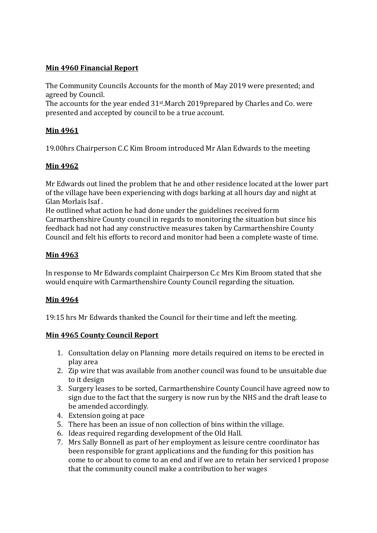# **Min 4960 Financial Report**

The Community Councils Accounts for the month of May 2019 were presented; and agreed by Council.

The accounts for the year ended 31st.March 2019prepared by Charles and Co. were presented and accepted by council to be a true account.

# **Min 4961**

19.00hrs Chairperson C.C Kim Broom introduced Mr Alan Edwards to the meeting

# **Min 4962**

Mr Edwards out lined the problem that he and other residence located at the lower part of the village have been experiencing with dogs barking at all hours day and night at Glan Morlais Isaf .

He outlined what action he had done under the guidelines received form Carmarthenshire County council in regards to monitoring the situation but since his feedback had not had any constructive measures taken by Carmarthenshire County Council and felt his efforts to record and monitor had been a complete waste of time.

# **Min 4963**

In response to Mr Edwards complaint Chairperson C.c Mrs Kim Broom stated that she would enquire with Carmarthenshire County Council regarding the situation.

# **Min 4964**

19:15 hrs Mr Edwards thanked the Council for their time and left the meeting.

## **Min 4965 County Council Report**

- 1. Consultation delay on Planning more details required on items to be erected in play area
- 2. Zip wire that was available from another council was found to be unsuitable due to it design
- 3. Surgery leases to be sorted, Carmarthenshire County Council have agreed now to sign due to the fact that the surgery is now run by the NHS and the draft lease to be amended accordingly.
- 4. Extension going at pace
- 5. There has been an issue of non collection of bins within the village.
- 6. Ideas required regarding development of the Old Hall.
- 7. Mrs Sally Bonnell as part of her employment as leisure centre coordinator has been responsible for grant applications and the funding for this position has come to or about to come to an end and if we are to retain her serviced I propose that the community council make a contribution to her wages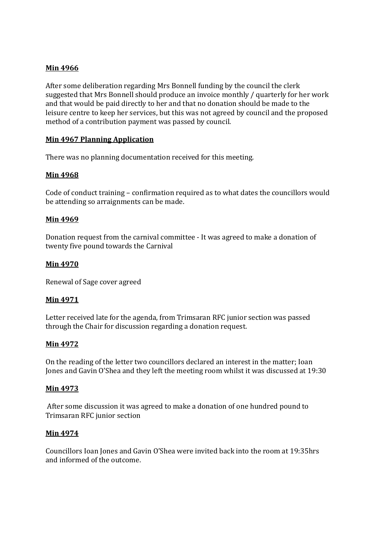## **Min 4966**

After some deliberation regarding Mrs Bonnell funding by the council the clerk suggested that Mrs Bonnell should produce an invoice monthly / quarterly for her work and that would be paid directly to her and that no donation should be made to the leisure centre to keep her services, but this was not agreed by council and the proposed method of a contribution payment was passed by council.

## **Min 4967 Planning Application**

There was no planning documentation received for this meeting.

## **Min 4968**

Code of conduct training – confirmation required as to what dates the councillors would be attending so arraignments can be made.

### **Min 4969**

Donation request from the carnival committee - It was agreed to make a donation of twenty five pound towards the Carnival

### **Min 4970**

Renewal of Sage cover agreed

### **Min 4971**

Letter received late for the agenda, from Trimsaran RFC junior section was passed through the Chair for discussion regarding a donation request.

### **Min 4972**

On the reading of the letter two councillors declared an interest in the matter; Ioan Jones and Gavin O'Shea and they left the meeting room whilst it was discussed at 19:30

### **Min 4973**

 After some discussion it was agreed to make a donation of one hundred pound to Trimsaran RFC junior section

### **Min 4974**

Councillors Ioan Jones and Gavin O'Shea were invited back into the room at 19:35hrs and informed of the outcome.